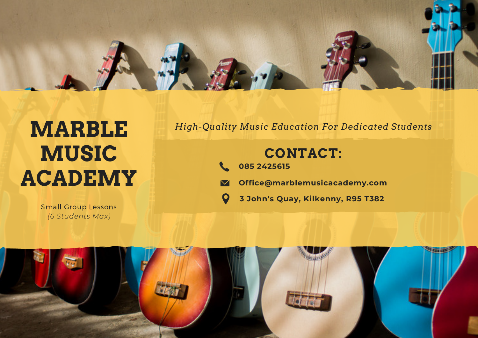

# **MARBLE MUSIC ACADEMY**

Small Group Lessons *(6 Students Max)*

*High-Quality Music Education For Dedicated Students*

# **CONTACT:**

- **085 2425615**
- **Office@marblemusicacademy.com**  $\blacktriangledown$ 
	- **3 John's Quay, Kilkenny, R95 T382**